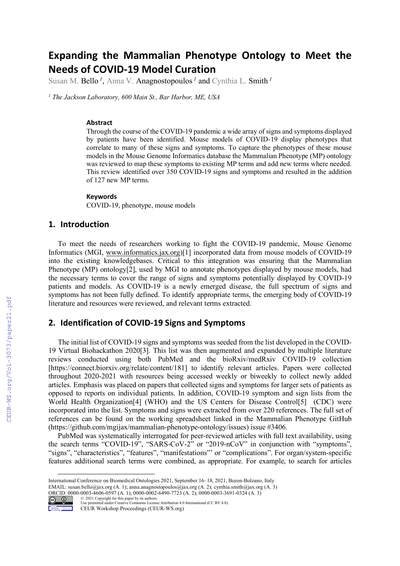# **Expanding the Mammalian Phenotype Ontology to Meet the Needs of COVID-19 Model Curation**

Susan M. Bello *<sup>1</sup>*, Anna V. Anagnostopoulos *<sup>1</sup>* and Cynthia L. Smith *<sup>1</sup>*

*<sup>1</sup> The Jackson Laboratory, 600 Main St., Bar Harbor, ME, USA*

#### **Abstract**

Through the course of the COVID-19 pandemic a wide array of signs and symptoms displayed by patients have been identified. Mouse models of COVID-19 display phenotypes that correlate to many of these signs and symptoms. To capture the phenotypes of these mouse models in the Mouse Genome Informatics database the Mammalian Phenotype (MP) ontology was reviewed to map these symptoms to existing MP terms and add new terms where needed. This review identified over 350 COVID-19 signs and symptoms and resulted in the addition of 127 new MP terms.

#### **Keywords**

COVID-19, phenotype, mouse models

#### **1. Introduction**

To meet the needs of researchers working to fight the COVID-19 pandemic, Mouse Genome Informatics (MGI, www.informatics.jax.org)[1] incorporated data from mouse models of COVID-19 into the existing knowledgebases. Critical to this integration was ensuring that the Mammalian Phenotype (MP) ontology<sup>[2]</sup>, used by MGI to annotate phenotypes displayed by mouse models, had the necessary terms to cover the range of signs and symptoms potentially displayed by COVID-19 patients and models. As COVID-19 is a newly emerged disease, the full spectrum of signs and symptoms has not been fully defined. To identify appropriate terms, the emerging body of COVID-19 literature and resources were reviewed, and relevant terms extracted.

## **2. Identification of COVID-19 Signs and Symptoms**

The initial list of COVID-19 signs and symptoms was seeded from the list developed in the COVID-19 Virtual Biohackathon 2020[3]. This list was then augmented and expanded by multiple literature reviews conducted using both PubMed and the bioRxiv/medRxiv COVID-19 collection [https://connect.biorxiv.org/relate/content/181] to identify relevant articles. Papers were collected throughout 2020-2021 with resources being accessed weekly or biweekly to collect newly added articles. Emphasis was placed on papers that collected signs and symptoms for larger sets of patients as opposed to reports on individual patients. In addition, COVID-19 symptom and sign lists from the World Health Organization[4] (WHO) and the US Centers for Disease Control[5] (CDC) were incorporated into the list. Symptoms and signs were extracted from over 220 references. The full set of references can be found on the working spreadsheet linked in the Mammalian Phenotype GitHub (https://github.com/mgijax/mammalian-phenotype-ontology/issues) issue #3406.

PubMed was systematically interrogated for peer-reviewed articles with full text availability, using the search terms "COVID-19", "SARS-CoV-2" or "2019-nCoV" in conjunction with "symptoms", "signs", "characteristics", "features", "manifestations"' or "complications". For organ/system-specific features additional search terms were combined, as appropriate. For example, to search for articles

ORCID: 0000-0003-4606-0597 (A. 1); 0000-0002-6490-7723 (A. 2); 0000-0003-3691-0324 (A. 3) © 2021 Copyright for this paper by its authors. Use permitted under Creative Commons License Attribution 4.0 International (CC BY 4.0).



CEUR Workshop Proceedings (CEUR-WS.org)

International Conference on Biomedical Ontologies 2021, September 16–18, 2021, Bozen-Bolzano, Italy

EMAIL: susan.bello@jax.org (A. 1); anna.anagnostopoulos@jax.org (A. 2); cynthia.smith@jax.org (A. 3)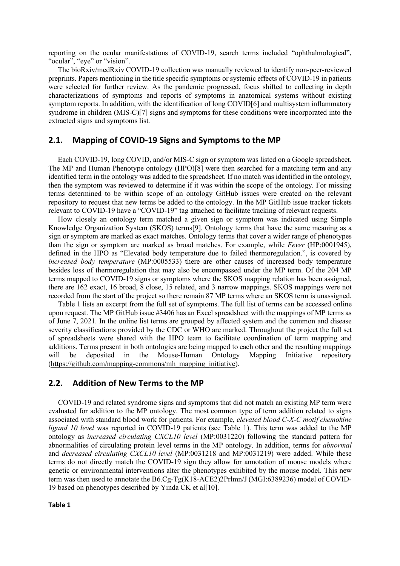reporting on the ocular manifestations of COVID-19, search terms included "ophthalmological", "ocular", "eye" or "vision".

The bioRxiv/medRxiv COVID-19 collection was manually reviewed to identify non-peer-reviewed preprints. Papers mentioning in the title specific symptoms or systemic effects of COVID-19 in patients were selected for further review. As the pandemic progressed, focus shifted to collecting in depth characterizations of symptoms and reports of symptoms in anatomical systems without existing symptom reports. In addition, with the identification of long COVID[6] and multisystem inflammatory syndrome in children (MIS-C)[7] signs and symptoms for these conditions were incorporated into the extracted signs and symptoms list.

#### **2.1. Mapping of COVID-19 Signs and Symptoms to the MP**

Each COVID-19, long COVID, and/or MIS-C sign or symptom was listed on a Google spreadsheet. The MP and Human Phenotype ontology (HPO)[8] were then searched for a matching term and any identified term in the ontology was added to the spreadsheet. If no match was identified in the ontology, then the symptom was reviewed to determine if it was within the scope of the ontology. For missing terms determined to be within scope of an ontology GitHub issues were created on the relevant repository to request that new terms be added to the ontology. In the MP GitHub issue tracker tickets relevant to COVID-19 have a "COVID-19" tag attached to facilitate tracking of relevant requests.

How closely an ontology term matched a given sign or symptom was indicated using Simple Knowledge Organization System (SKOS) terms[9]. Ontology terms that have the same meaning as a sign or symptom are marked as exact matches. Ontology terms that cover a wider range of phenotypes than the sign or symptom are marked as broad matches. For example, while *Fever* (HP:0001945), defined in the HPO as "Elevated body temperature due to failed thermoregulation.", is covered by *increased body temperature* (MP:0005533) there are other causes of increased body temperature besides loss of thermoregulation that may also be encompassed under the MP term. Of the 204 MP terms mapped to COVID-19 signs or symptoms where the SKOS mapping relation has been assigned, there are 162 exact, 16 broad, 8 close, 15 related, and 3 narrow mappings. SKOS mappings were not recorded from the start of the project so there remain 87 MP terms where an SKOS term is unassigned.

Table 1 lists an excerpt from the full set of symptoms. The full list of terms can be accessed online upon request. The MP GitHub issue #3406 has an Excel spreadsheet with the mappings of MP terms as of June 7, 2021. In the online list terms are grouped by affected system and the common and disease severity classifications provided by the CDC or WHO are marked. Throughout the project the full set of spreadsheets were shared with the HPO team to facilitate coordination of term mapping and additions. Terms present in both ontologies are being mapped to each other and the resulting mappings will be deposited in the Mouse-Human Ontology Mapping Initiative repository (https://github.com/mapping-commons/mh\_mapping\_initiative).

#### **2.2. Addition of New Terms to the MP**

COVID-19 and related syndrome signs and symptoms that did not match an existing MP term were evaluated for addition to the MP ontology. The most common type of term addition related to signs associated with standard blood work for patients. For example, *elevated blood C-X-C motif chemokine ligand 10 level* was reported in COVID-19 patients (see Table 1). This term was added to the MP ontology as *increased circulating CXCL10 level* (MP:0031220) following the standard pattern for abnormalities of circulating protein level terms in the MP ontology. In addition, terms for *abnormal* and *decreased circulating CXCL10 level* (MP:0031218 and MP:0031219) were added. While these terms do not directly match the COVID-19 sign they allow for annotation of mouse models where genetic or environmental interventions alter the phenotypes exhibited by the mouse model. This new term was then used to annotate the B6.Cg-Tg(K18-ACE2)2Prlmn/J (MGI:6389236) model of COVID-19 based on phenotypes described by Yinda CK et al[10].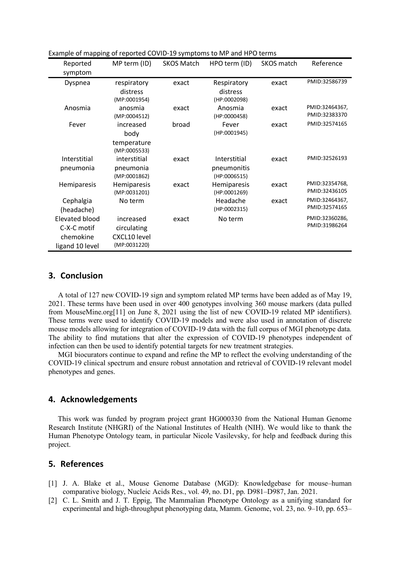| Reported              | MP term (ID) | <b>SKOS Match</b> | HPO term (ID)      | SKOS match | Reference      |
|-----------------------|--------------|-------------------|--------------------|------------|----------------|
| symptom               |              |                   |                    |            |                |
| Dyspnea               | respiratory  | exact             | Respiratory        | exact      | PMID:32586739  |
|                       | distress     |                   | distress           |            |                |
|                       | (MP:0001954) |                   | (HP:0002098)       |            |                |
| Anosmia               | anosmia      | exact             | Anosmia            | exact      | PMID:32464367, |
|                       | (MP:0004512) |                   | (HP:0000458)       |            | PMID:32383370  |
| Fever                 | increased    | broad             | Fever              | exact      | PMID:32574165  |
|                       | body         |                   | (HP:0001945)       |            |                |
|                       | temperature  |                   |                    |            |                |
|                       | (MP:0005533) |                   |                    |            |                |
| Interstitial          | interstitial | exact             | Interstitial       | exact      | PMID:32526193  |
| pneumonia             | pneumonia    |                   | pneumonitis        |            |                |
|                       | (MP:0001862) |                   | (HP:0006515)       |            |                |
| Hemiparesis           | Hemiparesis  | exact             | <b>Hemiparesis</b> | exact      | PMID:32354768, |
|                       | (MP:0031201) |                   | (HP:0001269)       |            | PMID:32436105  |
| Cephalgia             | No term      |                   | Headache           | exact      | PMID:32464367, |
| (headache)            |              |                   | (HP:0002315)       |            | PMID:32574165  |
| <b>Elevated blood</b> | increased    | exact             | No term            |            | PMID:32360286, |
| C-X-C motif           | circulating  |                   |                    |            | PMID:31986264  |
| chemokine             | CXCL10 level |                   |                    |            |                |
| ligand 10 level       | (MP:0031220) |                   |                    |            |                |

Example of mapping of reported COVID-19 symptoms to MP and HPO terms

# **3. Conclusion**

A total of 127 new COVID-19 sign and symptom related MP terms have been added as of May 19, 2021. These terms have been used in over 400 genotypes involving 360 mouse markers (data pulled from MouseMine.org[11] on June 8, 2021 using the list of new COVID-19 related MP identifiers). These terms were used to identify COVID-19 models and were also used in annotation of discrete mouse models allowing for integration of COVID-19 data with the full corpus of MGI phenotype data. The ability to find mutations that alter the expression of COVID-19 phenotypes independent of infection can then be used to identify potential targets for new treatment strategies.

MGI biocurators continue to expand and refine the MP to reflect the evolving understanding of the COVID-19 clinical spectrum and ensure robust annotation and retrieval of COVID-19 relevant model phenotypes and genes.

#### **4. Acknowledgements**

This work was funded by program project grant HG000330 from the National Human Genome Research Institute (NHGRI) of the National Institutes of Health (NIH). We would like to thank the Human Phenotype Ontology team, in particular Nicole Vasilevsky, for help and feedback during this project.

## **5. References**

- [1] J. A. Blake et al., Mouse Genome Database (MGD): Knowledgebase for mouse–human comparative biology, Nucleic Acids Res., vol. 49, no. D1, pp. D981–D987, Jan. 2021.
- [2] C. L. Smith and J. T. Eppig, The Mammalian Phenotype Ontology as a unifying standard for experimental and high-throughput phenotyping data, Mamm. Genome, vol. 23, no. 9–10, pp. 653–